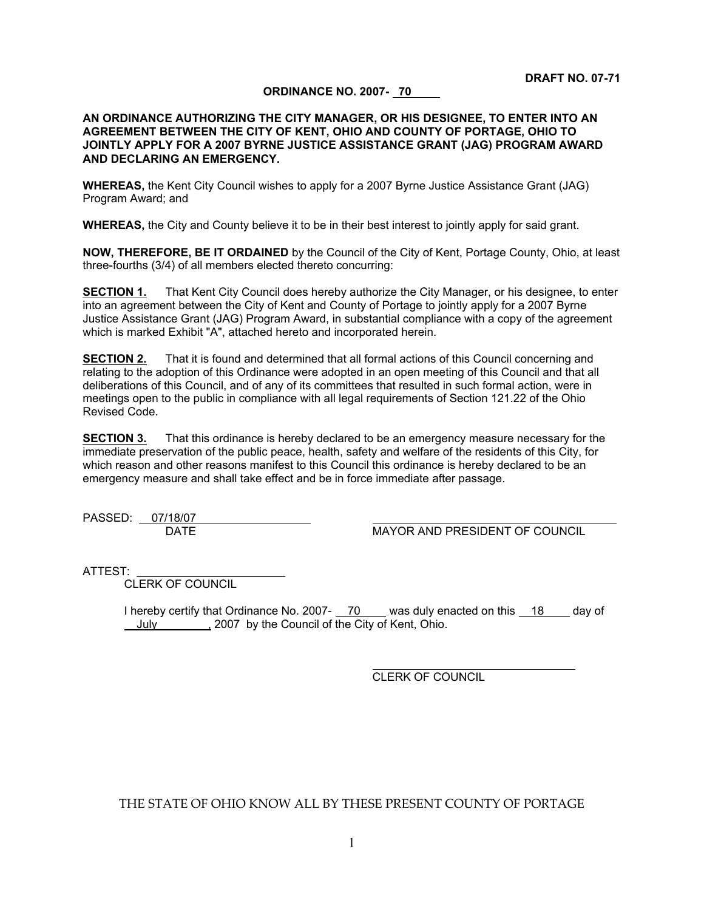#### **ORDINANCE NO. 2007- 70**

#### **AN ORDINANCE AUTHORIZING THE CITY MANAGER, OR HIS DESIGNEE, TO ENTER INTO AN AGREEMENT BETWEEN THE CITY OF KENT, OHIO AND COUNTY OF PORTAGE, OHIO TO JOINTLY APPLY FOR A 2007 BYRNE JUSTICE ASSISTANCE GRANT (JAG) PROGRAM AWARD AND DECLARING AN EMERGENCY.**

**WHEREAS,** the Kent City Council wishes to apply for a 2007 Byrne Justice Assistance Grant (JAG) Program Award; and

**WHEREAS,** the City and County believe it to be in their best interest to jointly apply for said grant.

**NOW, THEREFORE, BE IT ORDAINED** by the Council of the City of Kent, Portage County, Ohio, at least three-fourths (3/4) of all members elected thereto concurring:

**SECTION 1.** That Kent City Council does hereby authorize the City Manager, or his designee, to enter into an agreement between the City of Kent and County of Portage to jointly apply for a 2007 Byrne Justice Assistance Grant (JAG) Program Award, in substantial compliance with a copy of the agreement which is marked Exhibit "A", attached hereto and incorporated herein.

**SECTION 2.** That it is found and determined that all formal actions of this Council concerning and relating to the adoption of this Ordinance were adopted in an open meeting of this Council and that all deliberations of this Council, and of any of its committees that resulted in such formal action, were in meetings open to the public in compliance with all legal requirements of Section 121.22 of the Ohio Revised Code.

**SECTION 3.** That this ordinance is hereby declared to be an emergency measure necessary for the immediate preservation of the public peace, health, safety and welfare of the residents of this City, for which reason and other reasons manifest to this Council this ordinance is hereby declared to be an emergency measure and shall take effect and be in force immediate after passage.

PASSED: 07/18/07

DATE **MAYOR AND PRESIDENT OF COUNCIL** 

ATTEST:

CLERK OF COUNCIL

I hereby certify that Ordinance No. 2007- 70 was duly enacted on this 18 day of July 10007 by the Council of the City of Kent, Ohio.

 $\overline{a}$ 

CLERK OF COUNCIL

THE STATE OF OHIO KNOW ALL BY THESE PRESENT COUNTY OF PORTAGE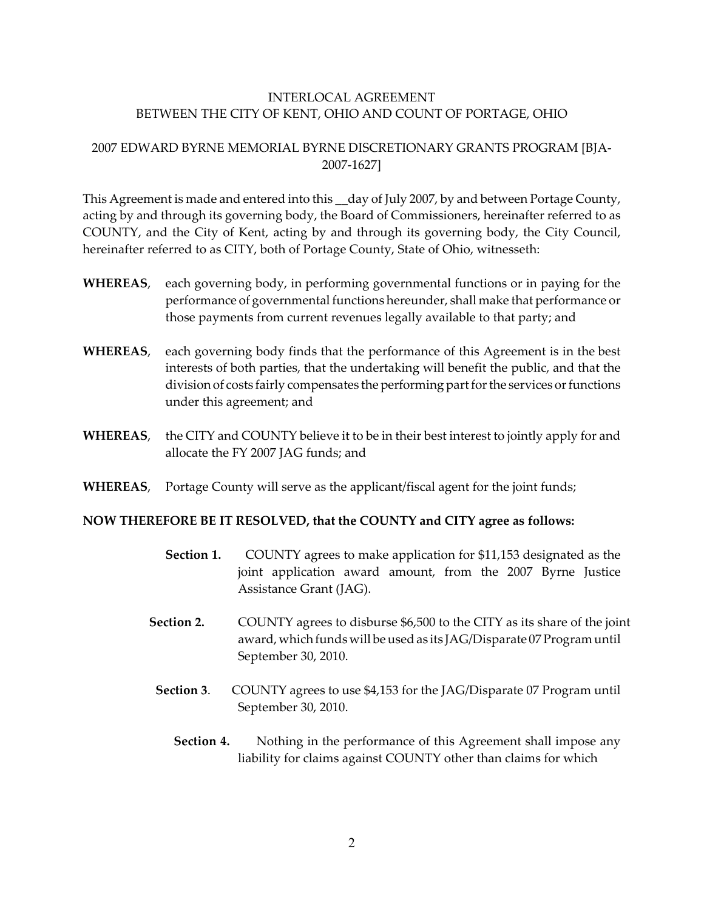## INTERLOCAL AGREEMENT BETWEEN THE CITY OF KENT, OHIO AND COUNT OF PORTAGE, OHIO

# 2007 EDWARD BYRNE MEMORIAL BYRNE DISCRETIONARY GRANTS PROGRAM [BJA-2007-1627]

This Agreement is made and entered into this \_\_day of July 2007, by and between Portage County, acting by and through its governing body, the Board of Commissioners, hereinafter referred to as COUNTY, and the City of Kent, acting by and through its governing body, the City Council, hereinafter referred to as CITY, both of Portage County, State of Ohio, witnesseth:

- **WHEREAS**, each governing body, in performing governmental functions or in paying for the performance of governmental functions hereunder, shall make that performance or those payments from current revenues legally available to that party; and
- **WHEREAS**, each governing body finds that the performance of this Agreement is in the best interests of both parties, that the undertaking will benefit the public, and that the division of costs fairly compensates the performing part for the services or functions under this agreement; and
- **WHEREAS**, the CITY and COUNTY believe it to be in their best interest to jointly apply for and allocate the FY 2007 JAG funds; and
- **WHEREAS**, Portage County will serve as the applicant/fiscal agent for the joint funds;

### **NOW THEREFORE BE IT RESOLVED, that the COUNTY and CITY agree as follows:**

- **Section 1.** COUNTY agrees to make application for \$11,153 designated as the joint application award amount, from the 2007 Byrne Justice Assistance Grant (JAG).
- **Section 2.** COUNTY agrees to disburse \$6,500 to the CITY as its share of the joint award, which funds will be used as its JAG/Disparate 07 Program until September 30, 2010.
- **Section 3**. COUNTY agrees to use \$4,153 for the JAG/Disparate 07 Program until September 30, 2010.
	- **Section 4.** Nothing in the performance of this Agreement shall impose any liability for claims against COUNTY other than claims for which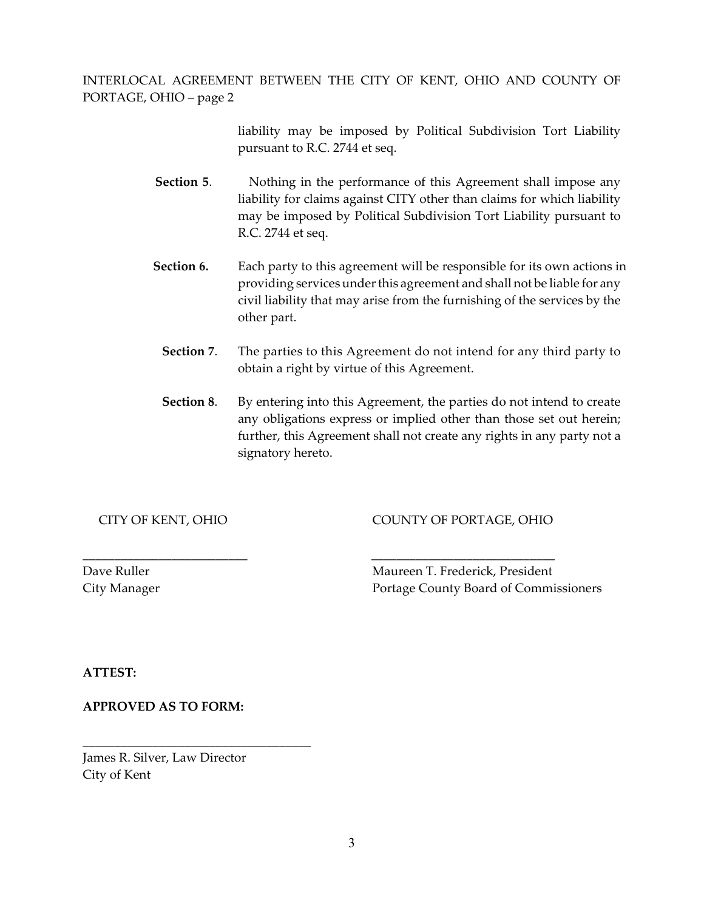INTERLOCAL AGREEMENT BETWEEN THE CITY OF KENT, OHIO AND COUNTY OF PORTAGE, OHIO – page 2

> liability may be imposed by Political Subdivision Tort Liability pursuant to R.C. 2744 et seq.

- **Section 5.** Nothing in the performance of this Agreement shall impose any liability for claims against CITY other than claims for which liability may be imposed by Political Subdivision Tort Liability pursuant to R.C. 2744 et seq.
- **Section 6.** Each party to this agreement will be responsible for its own actions in providing services under this agreement and shall not be liable for any civil liability that may arise from the furnishing of the services by the other part.
	- **Section 7**. The parties to this Agreement do not intend for any third party to obtain a right by virtue of this Agreement.
	- **Section 8**. By entering into this Agreement, the parties do not intend to create any obligations express or implied other than those set out herein; further, this Agreement shall not create any rights in any party not a signatory hereto.

CITY OF KENT, OHIO COUNTY OF PORTAGE, OHIO

Dave Ruller Maureen T. Frederick, President City Manager Portage County Board of Commissioners

**ATTEST:**

**APPROVED AS TO FORM:**

James R. Silver, Law Director City of Kent

**\_\_\_\_\_\_\_\_\_\_\_\_\_\_\_\_\_\_\_\_\_\_\_\_\_\_\_\_\_\_\_\_\_\_\_\_**

\_\_\_\_\_\_\_\_\_\_\_\_\_\_\_\_\_\_\_\_\_\_\_\_\_\_ \_\_\_\_\_\_\_\_\_\_\_\_\_\_\_\_\_\_\_\_\_\_\_\_\_\_\_\_\_